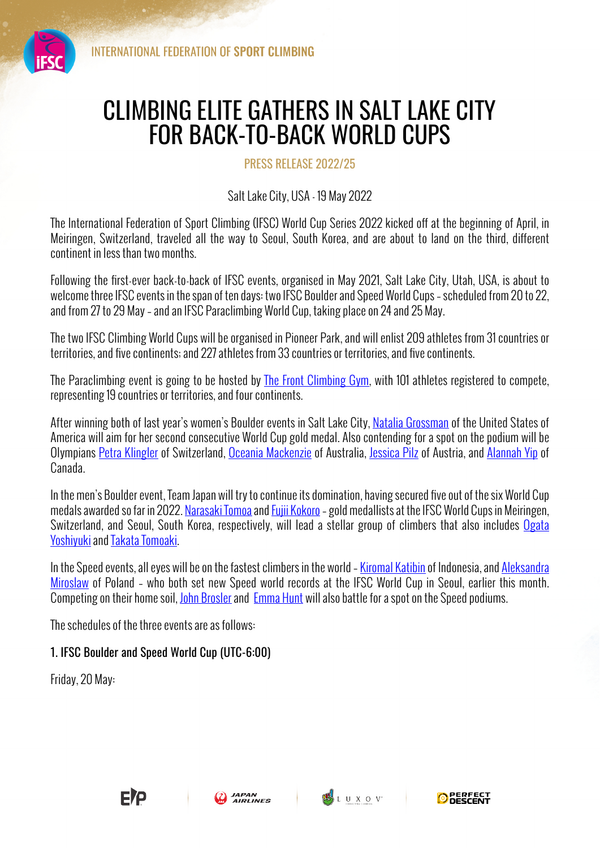

## CLIMBING ELITE GATHERS IN SALT LAKE CITY FOR BACK-TO-BACK WORLD CUPS

PRESS RELEASE 2022/25

Salt Lake City, USA - 19 May 2022

The International Federation of Sport Climbing (IFSC) World Cup Series 2022 kicked off at the beginning of April, in Meiringen, Switzerland, traveled all the way to Seoul, South Korea, and are about to land on the third, different continent in less than two months.

Following the first-ever back-to-back of IFSC events, organised in May 2021, Salt Lake City, Utah, USA, is about to welcome three IFSC events in the span of ten days: two IFSC Boulder and Speed World Cups – scheduled from 20 to 22, and from 27 to 29 May – and an IFSC Paraclimbing World Cup, taking place on 24 and 25 May.

The two IFSC Climbing World Cups will be organised in Pioneer Park, and will enlist 209 athletes from 31 countries or territories, and five continents; and 227 athletes from 33 countries or territories, and five continents.

The Paraclimbing event is going to be hosted by The Front Climbing Gym, with 101 athletes registered to compete, representing 19 countries or territories, and four continents.

After winning both of last vear's women's Boulder events in Salt Lake City, Natalia Grossman of the United States of America will aim for her second consecutive World Cup gold medal. Also contending for a spot on the podium will be Olympians Petra Klingler of Switzerland, Oceania Mackenzie of Australia, Jessica Pilz of Austria, and Alannah Yip of Canada.

In the men's Boulder event, Team Japan will try to continue its domination, having secured five out of the six World Cup medals awarded so far in 2022. Narasaki Tomoa and Fujii Kokoro – gold medallists at the IFSC World Cups in Meiringen, Switzerland, and Seoul, South Korea, respectively, will lead a stellar group of climbers that also includes Ogata Yoshiyuki and Takata Tomoaki.

In the Speed events, all eyes will be on the fastest climbers in the world – Kiromal Katibin of Indonesia, and Aleksandra Miroslaw of Poland – who both set new Speed world records at the IFSC World Cup in Seoul, earlier this month. Competing on their home soil, John Brosler and Emma Hunt will also battle for a spot on the Speed podiums.

The schedules of the three events are as follows:

## 1. IFSC Boulder and Speed World Cup (UTC-6:00)

Friday, 20 May: